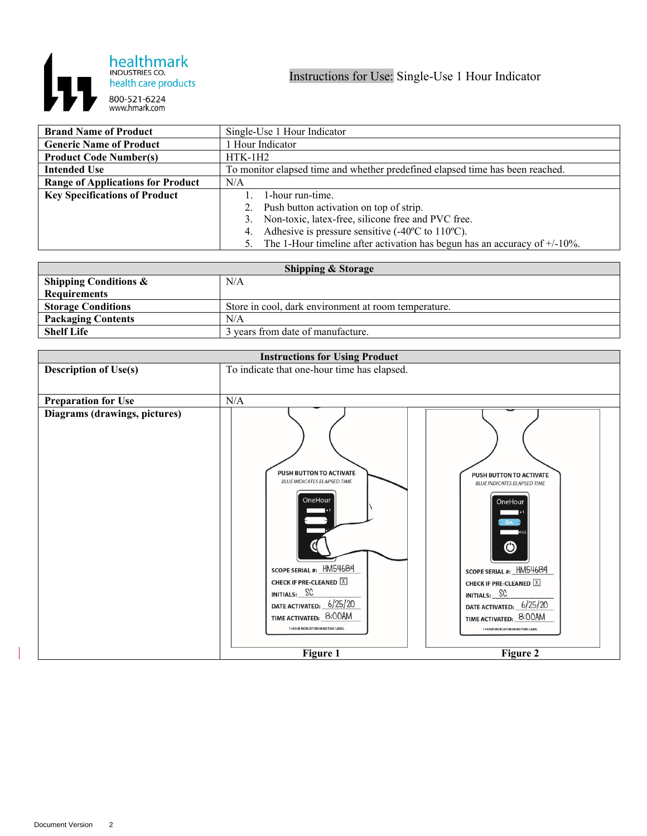

| <b>Brand Name of Product</b>             | Single-Use 1 Hour Indicator                                                              |
|------------------------------------------|------------------------------------------------------------------------------------------|
| <b>Generic Name of Product</b>           | 1 Hour Indicator                                                                         |
| <b>Product Code Number(s)</b>            | $HTK-1H2$                                                                                |
| <b>Intended Use</b>                      | To monitor elapsed time and whether predefined elapsed time has been reached.            |
| <b>Range of Applications for Product</b> | N/A                                                                                      |
| <b>Key Specifications of Product</b>     | 1-hour run-time.                                                                         |
|                                          | Push button activation on top of strip.<br>2.                                            |
|                                          | Non-toxic, latex-free, silicone free and PVC free.<br>3.                                 |
|                                          | Adhesive is pressure sensitive $(-40^{\circ}\text{C})$ to $110^{\circ}\text{C}$ ).<br>4. |
|                                          | 5. The 1-Hour timeline after activation has begun has an accuracy of $+/-10\%$ .         |

| <b>Shipping &amp; Storage</b>    |                                                      |  |
|----------------------------------|------------------------------------------------------|--|
| <b>Shipping Conditions &amp;</b> | N/A                                                  |  |
| <b>Requirements</b>              |                                                      |  |
| <b>Storage Conditions</b>        | Store in cool, dark environment at room temperature. |  |
| <b>Packaging Contents</b>        | N/A                                                  |  |
| <b>Shelf Life</b>                | 3 years from date of manufacture.                    |  |

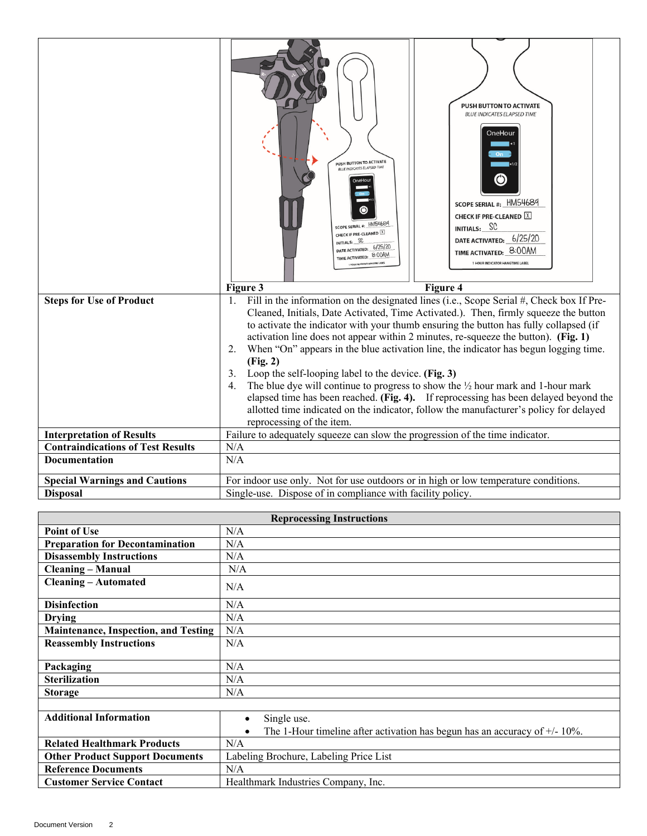|                                          | <b>PUSH BUTTON TO ACTIVATE</b><br><b>BLUE INDICATES ELAPSED TIME</b><br>OneHour<br>PUSH BUTTON TO ACTIVATE<br><b>BLUE INDICATES ELAPSED TIME</b><br>◉<br>OneHout<br>SCOPE SERIAL #: HM54689<br><b>CHECK IF PRE-CLEANED X</b><br>SCOPE SERIAL #: HM54689<br>INITIALS: SC<br>CHECK IF PRE-CLEANED X<br>DATE ACTIVATED: 6/25/20<br>INITIALS: SC<br>DATE ACTIVATED: 6/25/20<br>TIME ACTIVATED: 8:00AM<br>TIME ACTIVATED: 8:00AM<br>1 HOUR INDICATOR HANGTIME LABEL<br>Figure 4<br>Figure 3 |
|------------------------------------------|----------------------------------------------------------------------------------------------------------------------------------------------------------------------------------------------------------------------------------------------------------------------------------------------------------------------------------------------------------------------------------------------------------------------------------------------------------------------------------------|
| <b>Steps for Use of Product</b>          | Fill in the information on the designated lines (i.e., Scope Serial #, Check box If Pre-<br>1.<br>Cleaned, Initials, Date Activated, Time Activated.). Then, firmly squeeze the button                                                                                                                                                                                                                                                                                                 |
|                                          | to activate the indicator with your thumb ensuring the button has fully collapsed (if                                                                                                                                                                                                                                                                                                                                                                                                  |
|                                          | activation line does not appear within 2 minutes, re-squeeze the button). (Fig. 1)<br>2.<br>When "On" appears in the blue activation line, the indicator has begun logging time.                                                                                                                                                                                                                                                                                                       |
|                                          | (Fig. 2)                                                                                                                                                                                                                                                                                                                                                                                                                                                                               |
|                                          | Loop the self-looping label to the device. (Fig. 3)                                                                                                                                                                                                                                                                                                                                                                                                                                    |
|                                          | The blue dye will continue to progress to show the $\frac{1}{2}$ hour mark and 1-hour mark<br>4.                                                                                                                                                                                                                                                                                                                                                                                       |
|                                          | elapsed time has been reached. (Fig. 4). If reprocessing has been delayed beyond the<br>allotted time indicated on the indicator, follow the manufacturer's policy for delayed                                                                                                                                                                                                                                                                                                         |
|                                          | reprocessing of the item.                                                                                                                                                                                                                                                                                                                                                                                                                                                              |
| <b>Interpretation of Results</b>         | Failure to adequately squeeze can slow the progression of the time indicator.                                                                                                                                                                                                                                                                                                                                                                                                          |
| <b>Contraindications of Test Results</b> | N/A                                                                                                                                                                                                                                                                                                                                                                                                                                                                                    |
| Documentation                            | N/A                                                                                                                                                                                                                                                                                                                                                                                                                                                                                    |
| <b>Special Warnings and Cautions</b>     | For indoor use only. Not for use outdoors or in high or low temperature conditions.                                                                                                                                                                                                                                                                                                                                                                                                    |
| <b>Disposal</b>                          | Single-use. Dispose of in compliance with facility policy.                                                                                                                                                                                                                                                                                                                                                                                                                             |

| <b>Reprocessing Instructions</b>            |                                                                               |  |
|---------------------------------------------|-------------------------------------------------------------------------------|--|
| <b>Point of Use</b>                         | N/A                                                                           |  |
| <b>Preparation for Decontamination</b>      | N/A                                                                           |  |
| <b>Disassembly Instructions</b>             | N/A                                                                           |  |
| <b>Cleaning – Manual</b>                    | N/A                                                                           |  |
| <b>Cleaning - Automated</b>                 | N/A                                                                           |  |
| <b>Disinfection</b>                         | N/A                                                                           |  |
| <b>Drying</b>                               | N/A                                                                           |  |
| <b>Maintenance, Inspection, and Testing</b> | N/A                                                                           |  |
| <b>Reassembly Instructions</b>              | N/A                                                                           |  |
|                                             |                                                                               |  |
| Packaging                                   | N/A                                                                           |  |
| <b>Sterilization</b>                        | N/A                                                                           |  |
| <b>Storage</b>                              | N/A                                                                           |  |
|                                             |                                                                               |  |
| <b>Additional Information</b>               | Single use.<br>$\bullet$                                                      |  |
|                                             | The 1-Hour timeline after activation has begun has an accuracy of $+/-10\%$ . |  |
| <b>Related Healthmark Products</b>          | N/A                                                                           |  |
| <b>Other Product Support Documents</b>      | Labeling Brochure, Labeling Price List                                        |  |
| <b>Reference Documents</b>                  | N/A                                                                           |  |
| <b>Customer Service Contact</b>             | Healthmark Industries Company, Inc.                                           |  |